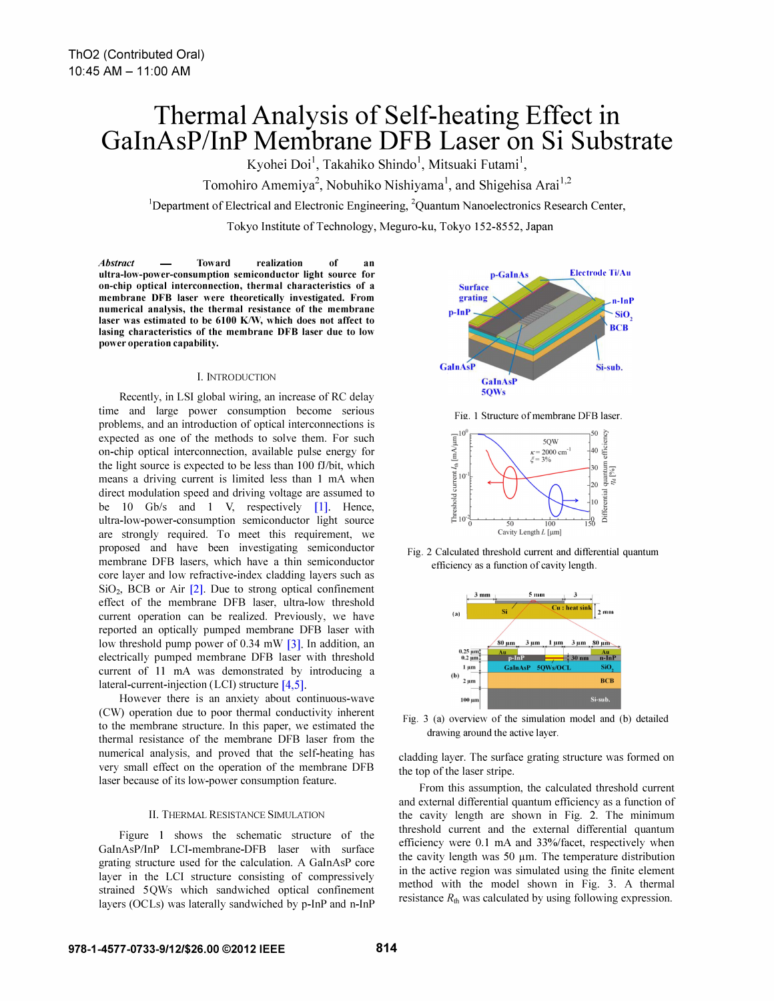# Thermal Analysis of Self-heating Effect in GaInAsP/InP Membrane DFB Laser on Si Substrate

Kyohei Doi<sup>1</sup>, Takahiko Shindo<sup>1</sup>, Mitsuaki Futami<sup>1</sup>,

Tomohiro Amemiya<sup>2</sup>, Nobuhiko Nishiyama<sup>1</sup>, and Shigehisa Arai<sup>1,2</sup>

<sup>1</sup>Department of Electrical and Electronic Engineering, <sup>2</sup>Quantum Nanoelectronics Research Center,

Tokyo Institute of Technology, Meguro-ku, Tokyo 152-8552, Japan

Abstract — Toward realization of an ultra-low-power-consumption semiconductor light source for on-chip optical interconnection, thermal characteristics of a membrane DFB laser were theoretically investigated. From numerical analysis, the thermal resistance of the membrane laser was estimated to be 6100 K/W, which does not affect to lasing characteristics of the membrane DFB laser due to low power operation capability.

#### I. INTRODUCTION

Recently, in LSI global wiring, an increase of RC delay time and large power consumption become serious problems, and an introduction of optical interconnections is expected as one of the methods to solve them. For such on-chip optical interconnection, available pulse energy for the light source is expected to be less than 100 fJ/bit, which means a driving current is limited less than 1 mA when direct modulation speed and driving voltage are assumed to be 10 Gb/s and 1 V, respectively [1]. Hence, ultra-Iow-power-consumption semiconductor light source are strongly required. To meet this requirement, we proposed and have been investigating semiconductor membrane DFB lasers, which have a thin semiconductor core layer and low refractive-index cladding layers such as  $SiO<sub>2</sub>$ , BCB or Air  $[2]$ . Due to strong optical confinement effect of the membrane DFB laser, ultra-low threshold current operation can be realized. Previously, we have reported an optically pumped membrane DFB laser with low threshold pump power of 0.34 mW  $[3]$ . In addition, an electrically pumped membrane DFB laser with threshold current of 11 mA was demonstrated by introducing a lateral-current-injection (LCI) structure  $[4,5]$ .

However there is an anxiety about continuous-wave (CW) operation due to poor thermal conductivity inherent to the membrane structure. In this paper, we estimated the thermal resistance of the membrane DFB laser from the numerical analysis, and proved that the self-heating has very small effect on the operation of the membrane DFB laser because of its low-power consumption feature.

## II. THERMAL RESISTANCE SIMULATION

Figure 1 shows the schematic structure of the GaInAsP/InP LCI-membrane-DFB laser with surface grating structure used for the calculation. A GaInAsP core layer in the LCI structure consisting of compressively strained 5QWs which sandwiched optical confinement layers (OCLs) was laterally sandwiched by p-InP and n-InP



Fig. 1 Structure of membrane DFB laser.



Fig. 2 Calculated threshold current and differential quantum efficiency as a function of cavity length.



Fig. 3 (a) overview of the simulation model and (b) detailed drawing around the active layer.

cladding layer. The surface grating structure was formed on the top of the laser stripe.

From this assumption, the calculated threshold current and external differential quantum efficiency as a function of the cavity length are shown in Fig. 2. The minimum threshold current and the external differential quantum efficiency were 0.1 mA and 33%/facet, respectively when the cavity length was  $50 \mu m$ . The temperature distribution in the active region was simulated using the finite element method with the model shown in Fig. 3. A thermal resistance  $R_{\text{th}}$  was calculated by using following expression.